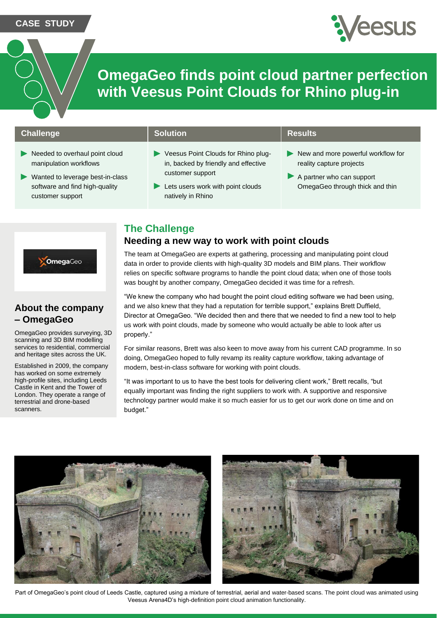#### **CASE STUDY**



**OmegaGeo finds point cloud partner perfection with Veesus Point Clouds for Rhino plug-in**

### **Challenge Solution Results Results**

- Needed to overhaul point cloud manipulation workflows
- $\blacktriangleright$ Wanted to leverage best-in-class software and find high-quality customer support

- Veesus Point Clouds for Rhino plugin, backed by friendly and effective customer support
- Lets users work with point clouds natively in Rhino

- New and more powerful workflow for reality capture projects
- A partner who can support OmegaGeo through thick and thin

## **The Challenge**

### **Needing a new way to work with point clouds**



## **About the company – OmegaGeo**

OmegaGeo provides surveying, 3D scanning and 3D BIM modelling services to residential, commercial and heritage sites across the UK.

Established in 2009, the company has worked on some extremely high-profile sites, including Leeds Castle in Kent and the Tower of London. They operate a range of terrestrial and drone-based scanners.

The team at OmegaGeo are experts at gathering, processing and manipulating point cloud data in order to provide clients with high-quality 3D models and BIM plans. Their workflow relies on specific software programs to handle the point cloud data; when one of those tools was bought by another company, OmegaGeo decided it was time for a refresh.

"We knew the company who had bought the point cloud editing software we had been using, and we also knew that they had a reputation for terrible support," explains Brett Duffield, Director at OmegaGeo. "We decided then and there that we needed to find a new tool to help us work with point clouds, made by someone who would actually be able to look after us properly."

For similar reasons, Brett was also keen to move away from his current CAD programme. In so doing, OmegaGeo hoped to fully revamp its reality capture workflow, taking advantage of modern, best-in-class software for working with point clouds.

"It was important to us to have the best tools for delivering client work," Brett recalls, "but equally important was finding the right suppliers to work with. A supportive and responsive technology partner would make it so much easier for us to get our work done on time and on budget."





Part of OmegaGeo's point cloud of Leeds Castle, captured using a mixture of terrestrial, aerial and water-based scans. The point cloud was animated using Veesus Arena4D's high-definition point cloud animation functionality.